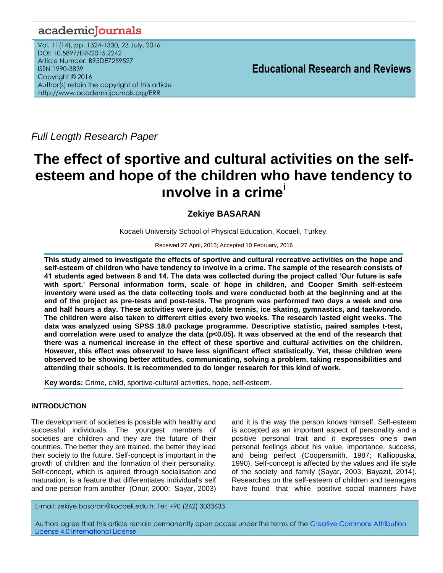# academicJournals

Vol. 11(14), pp. 1324-1330, 23 July, 2016 DOI: 10.5897/ERR2015.2242 Article Number: B95DE7259527 ISSN 1990-3839 Copyright © 2016 Author(s) retain the copyright of this article http://www.academicjournals.org/ERR

**Educational Research and Reviews**

*Full Length Research Paper*

# **The effect of sportive and cultural activities on the selfesteem and hope of the children who have tendency to ınvolve in a crime<sup>i</sup>**

# **Zekiye BASARAN**

Kocaeli University School of Physical Education, Kocaeli, Turkey.

Received 27 April, 2015; Accepted 10 February, 2016

**This study aimed to investigate the effects of sportive and cultural recreative activities on the hope and self-esteem of children who have tendency to involve in a crime. The sample of the research consists of 41 students aged between 8 and 14. The data was collected during the project called 'Our future is safe with sport.' Personal information form, scale of hope in children, and Cooper Smith self-esteem inventory were used as the data collecting tools and were conducted both at the beginning and at the end of the project as pre-tests and post-tests. The program was performed two days a week and one and half hours a day. These activities were judo, table tennis, ice skating, gymnastics, and taekwondo. The children were also taken to different cities every two weeks. The research lasted eight weeks. The data was analyzed using SPSS 18.0 package programme. Descriptive statistic, paired samples t-test,**  and correlation were used to analyze the data (p<0.05). It was observed at the end of the research that **there was a numerical increase in the effect of these sportive and cultural activities on the children. However, this effect was observed to have less significant effect statistically. Yet, these children were observed to be showing better attitudes, communicating, solving a problem, taking responsibilities and attending their schools. It is recommended to do longer research for this kind of work.**

**Key words:** Crime, child, sportive-cultural activities, hope, self-esteem.

# **INTRODUCTION**

The development of societies is possible with healthy and successful individuals. The youngest members of societies are children and they are the future of their countries. The better they are trained, the better they lead their society to the future. Self-concept is important in the growth of children and the formation of their personality. Self-concept, which is aquired through socialisation and maturation, is a feature that differentiates individual's self and one person from another (Onur, 2000; Sayar, 2003)

and it is the way the person knows himself. Self-esteem is accepted as an important aspect of personality and a positive personal trait and it expresses one's own personal feelings about his value, importance, success, and being perfect (Coopersmith, 1987; Kalliopuska, 1990). Self-concept is affected by the values and life style of the society and family (Sayar, 2003; Bayazıt, 2014). Researches on the self-esteem of children and teenagers have found that while positive social manners have

E-mail: zekiye.basaran@kocaeli.edu.tr. Tel: +90 (262) 3033633.

Authors agree that this article remain permanently open access under the terms of the Creative Commons Attribution [License 4.0 International License](file://192.168.1.24/reading/Arts%20and%20Education/ERR/2014/sept/read/Correction%20Pdf%201/ERR-17.04.14-1816/Publication/Creative%20Co)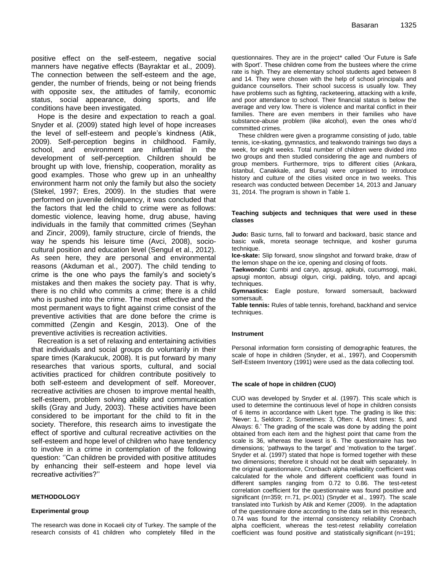positive effect on the self-esteem, negative social manners have negative effects (Bayraktar et al., 2009). The connection between the self-esteem and the age, gender, the number of friends, being or not being friends with opposite sex, the attitudes of family, economic status, social appearance, doing sports, and life conditions have been investigated.

Hope is the desire and expectation to reach a goal. Snyder et al. (2009) stated high level of hope increases the level of self-esteem and people's kindness (Atik, 2009). Self-perception begins in childhood. Family, school, and environment are influential in the development of self-perception. Children should be brought up with love, frienship, cooperation, morality as good examples. Those who grew up in an unhealthy environment harm not only the family but also the society (Stekel, 1997; Eres, 2009). In the studies that were performed on juvenile delinquency, it was concluded that the factors that led the child to crime were as follows: domestic violence, leaving home, drug abuse, having individuals in the family that committed crimes (Seyhan and Zincir, 2009), family structure, circle of friends, the way he spends his leisure time (Avci, 2008), sociocultural position and education level (Sengul et al., 2012). As seen here, they are personal and environmental reasons (Akduman et al., 2007). The child tending to crime is the one who pays the family's and society's mistakes and then makes the society pay. That is why, there is no child who commits a crime; there is a child who is pushed into the crime. The most effective and the most permanent ways to fight against crime consist of the preventive activities that are done before the crime is committed (Zengin and Kesgin, 2013). One of the preventive activities is recreation activities.

Recreation is a set of relaxing and entertaining activities that individuals and social groups do voluntarily in their spare times (Karakucuk, 2008). It is put forward by many researches that various sports, cultural, and social activities practiced for children contribute positively to both self-esteem and development of self. Moreover, recreative activities are chosen to improve mental health, self-esteem, problem solving ability and communication skills (Gray and Judy, 2003). These activities have been considered to be important for the child to fit in the society. Therefore, this research aims to investigate the effect of sportive and cultural recreative activities on the self-esteem and hope level of children who have tendency to involve in a crime in contemplation of the following question: ''Can children be provided with positive attitudes by enhancing their self-esteem and hope level via recreative activities?''

#### **METHODOLOGY**

#### **Experimental group**

The research was done in Kocaeli city of Turkey. The sample of the research consists of 41 children who completely filled in the

questionnaires. They are in the project\* called 'Our Future is Safe with Sport'. These children come from the bustees where the crime rate is high. They are elementary school students aged between 8 and 14. They were chosen with the help of school principals and guidance counsellors. Their school success is usually low. They have problems such as fighting, racketeering, attacking with a knife, and poor attendance to school. Their financial status is below the average and very low. There is violence and marital conflict in their families. There are even members in their families who have substance-abuse problem (like alcohol), even the ones who'd committed crimes.

These children were given a programme consisting of judo, table tennis, ice-skating, gymnastics, and teakwondo trainings two days a week, for eight weeks. Total number of children were divided into two groups and then studied considering the age and numbers of group members. Furthermore, trips to different cities (Ankara, Istanbul, Canakkale, and Bursa) were organised to introduce history and culture of the cities visited once in two weeks. This research was conducted between December 14, 2013 and January 31, 2014. The program is shown in Table 1.

#### **Teaching subjects and techniques that were used in these classes**

**Judo:** Basic turns, fall to forward and backward, basic stance and basic walk, moreta seonage technique, and kosher guruma technique.

**Ice-skate:** Slip forward, snow slingshot and forward brake, draw of the lemon shape on the ice, opening and closing of foots.

**Taekwondo:** Cumbi and caryo, apsugi, apkubi, cucumsogi, maki, apsugi monton, absugi olgun, cirigi, palding, tolyo, and apcagi techniques.

**Gymnastics:** Eagle posture, forward somersault, backward somersault.

**Table tennis:** Rules of table tennis, forehand, backhand and service techniques.

#### **Instrument**

Personal information form consisting of demographic features, the scale of hope in children (Snyder, et al., 1997), and Coopersmith Self-Esteem Inventory (1991) were used as the data collecting tool.

#### **The scale of hope in children (CUO)**

CUO was developed by Snyder et al. (1997). This scale which is used to determine the continuous level of hope in children consists of 6 items in accordance with Likert type. The grading is like this: 'Never: 1, Seldom: 2, Sometimes: 3, Often: 4, Most times: 5, and Always: 6.' The grading of the scale was done by adding the point obtained from each item and the highest point that came from the scale is 36, whereas the lowest is 6. The questionnaire has two dimensions; 'pathways to the target' and 'motivation to the target'. Snyder et al. (1997) stated that hope is formed together with these two dimensions; therefore it should not be dealt with separately. In the original questionnaire, Cronbach alpha reliability coefficient was calculated for the whole and different coefficient was found in different samples ranging from 0.72 to 0.86. The test-retest correlation coefficient for the questionnaire was found positive and significant (n=359; r=.71, p<.001) (Snyder et al., 1997). The scale translated into Turkish by Atik and Kemer (2009). In the adaptation of the questionnaire done according to the data set in this research, 0.74 was found for the internal consistency reliability Cronbach alpha coefficient, whereas the test-retest reliability correlation coefficient was found positive and statistically significant (n=191;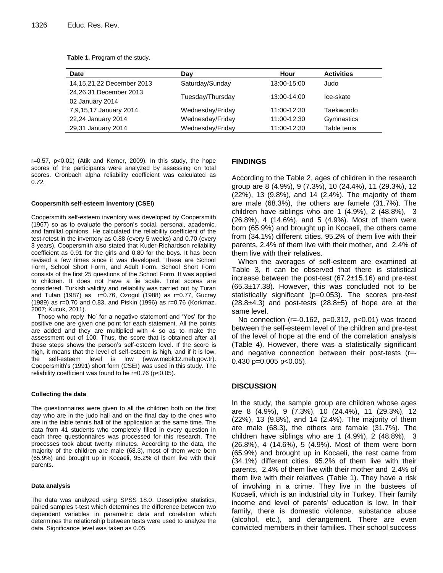|  |  | Table 1. Program of the study. |  |  |  |
|--|--|--------------------------------|--|--|--|
|--|--|--------------------------------|--|--|--|

| Date                      | Day              | Hour        | <b>Activities</b> |
|---------------------------|------------------|-------------|-------------------|
| 14,15,21,22 December 2013 | Saturday/Sunday  | 13:00-15:00 | Judo              |
| 24,26,31 December 2013    | Tuesday/Thursday | 13:00-14:00 | Ice-skate         |
| 02 January 2014           |                  |             |                   |
| 7,9,15,17 January 2014    | Wednesday/Friday | 11:00-12:30 | Taekwondo         |
| 22,24 January 2014        | Wednesday/Friday | 11:00-12:30 | Gymnastics        |
| 29,31 January 2014        | Wednesday/Friday | 11:00-12:30 | Table tenis       |

r=0.57, p<0.01) (Atik and Kemer, 2009). In this study, the hope scores of the participants were analyzed by assessing on total scores. Cronbach alpha reliability coefficient was calculated as 0*.72*.

#### **Coopersmith self-esteem inventory (CSEI)**

Coopersmith self-esteem inventory was developed by Coopersmith (1967) so as to evaluate the person's social, personal, academic, and familial opinions. He calculated the reliability coefficient of the test-retest in the inventory as 0.88 (every 5 weeks) and 0.70 (every 3 years). Coopersmith also stated that Kuder-Richardson reliability coefficient as 0.91 for the girls and 0.80 for the boys. It has been revised a few times since it was developed. These are School Form, School Short Form, and Adult Form. School Short Form consists of the first 25 questions of the School Form. It was applied to children. It does not have a lie scale. Total scores are considered. Turkish validity and reliability was carried out by Turan and Tufan (1987) as r=0.76, Ozogul (1988) as r=0.77, Gucray (1989) as r=0.70 and 0.83, and Piskin (1996) as r=0.76 (Korkmaz, 2007; Kucuk, 2011).

Those who reply 'No' for a negative statement and 'Yes' for the positive one are given one point for each statement. All the points are added and they are multiplied with 4 so as to make the assessment out of 100. Thus, the score that is obtained after all these steps shows the person's self-esteem level. If the score is high, it means that the level of self-esteem is high, and if it is low, the self-esteem level is low [\(www.mebk12.meb.gov.tr\)](http://www.mebk12.meb.gov.tr/). Coopersmith's (1991) short form (CSEI) was used in this study. The reliability coefficient was found to be r=0.76 (p<0.05).

#### **Collecting the data**

The questionnaires were given to all the children both on the first day who are in the judo hall and on the final day to the ones who are in the table tennis hall of the application at the same time. The data from 41 students who completely filled in every question in each three questionnaires was processed for this research. The processes took about twenty minutes. According to the data, the majority of the children are male (68.3), most of them were born (65.9%) and brought up in Kocaeli, 95.2% of them live with their parents.

#### **Data analysis**

The data was analyzed using SPSS 18.0. Descriptive statistics, paired samples t-test which determines the difference between two dependent variables in parametric data and corelation which determines the relationship between tests were used to analyze the data. Significance level was taken as 0.05.

## **FINDINGS**

According to the Table 2, ages of children in the research group are 8 (4.9%), 9 (7.3%), 10 (24.4%), 11 (29.3%), 12 (22%), 13 (9.8%), and 14 (2.4%). The majority of them are male (68.3%), the others are famele (31.7%). The children have siblings who are 1  $(4.9\%)$ , 2  $(48.8\%)$ , 3 (26.8%), 4 (14.6%), and 5 (4.9%). Most of them were born (65.9%) and brought up in Kocaeli, the others came from (34.1%) different cities. 95.2% of them live with their parents, 2.4% of them live with their mother, and 2.4% of them live with their relatives.

When the averages of self-esteem are examined at Table 3, it can be observed that there is statistical increase between the post-test (67.2±15.16) and pre-test (65.3±17.38). However, this was concluded not to be statistically significant (p=0.053). The scores pre-test  $(28.8\pm4.3)$  and post-tests  $(28.8\pm5)$  of hope are at the same level.

No connection (r=-0.162, p=0.312, p<0.01) was traced between the self-esteem level of the children and pre-test of the level of hope at the end of the correlation analysis (Table 4). However, there was a statistically significant and negative connection between their post-tests (r=- 0.430 p=0.005 p<0.05).

## **DISCUSSION**

In the study, the sample group are children whose ages are 8 (4.9%), 9 (7.3%), 10 (24.4%), 11 (29.3%), 12 (22%), 13 (9.8%), and 14 (2.4%). The majority of them are male (68.3), the others are famale (31.7%). The children have siblings who are 1 (4.9%), 2 (48.8%), 3 (26.8%), 4 (14.6%), 5 (4.9%). Most of them were born (65.9%) and brought up in Kocaeli, the rest came from (34.1%) different cities. 95.2% of them live with their parents, 2.4% of them live with their mother and 2.4% of them live with their relatives (Table 1). They have a risk of involving in a crime. They live in the bustees of Kocaeli, which is an industrial city in Turkey. Their family income and level of parents' education is low. In their family, there is domestic violence, substance abuse (alcohol, etc.), and derangement. There are even convicted members in their families. Their school success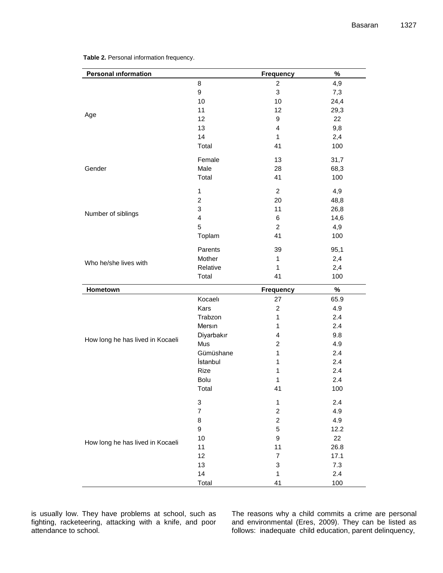| <b>Personal information</b>      |                | <b>Frequency</b>   | $\%$       |
|----------------------------------|----------------|--------------------|------------|
|                                  | 8              | $\overline{c}$     | 4,9        |
|                                  | 9              | 3                  | 7,3        |
|                                  | 10             | 10                 | 24,4       |
|                                  | 11             | 12                 | 29,3       |
| Age                              | 12             | 9                  | 22         |
|                                  | 13             | 4                  | 9,8        |
|                                  | 14             | 1                  | 2,4        |
|                                  | Total          | 41                 | 100        |
|                                  | Female         | 13                 | 31,7       |
| Gender                           | Male           | 28                 | 68,3       |
|                                  | Total          | 41                 | 100        |
|                                  | 1              | $\overline{c}$     | 4,9        |
|                                  | $\overline{c}$ | 20                 | 48,8       |
|                                  | 3              | 11                 | 26,8       |
| Number of siblings               | 4              | 6                  | 14,6       |
|                                  | 5              | $\overline{c}$     | 4,9        |
|                                  | Toplam         | 41                 | 100        |
|                                  | Parents        |                    |            |
|                                  | Mother         | 39<br>$\mathbf{1}$ | 95,1       |
| Who he/she lives with            | Relative       | $\mathbf{1}$       | 2,4        |
|                                  | Total          | 41                 | 2,4<br>100 |
|                                  |                |                    |            |
| Hometown                         |                | <b>Frequency</b>   | $\%$       |
|                                  | Kocaelı        | 27                 | 65.9       |
|                                  | Kars           | $\overline{c}$     | 4.9        |
|                                  | Trabzon        | $\mathbf{1}$       | 2.4        |
|                                  | Mersin         | $\mathbf{1}$       | 2.4        |
| How long he has lived in Kocaeli | Diyarbakır     | 4                  | 9.8        |
|                                  | Mus            | $\overline{c}$     | 4.9        |
|                                  | Gümüshane      | $\mathbf{1}$       | 2.4        |
|                                  | İstanbul       | $\mathbf{1}$       | 2.4        |
|                                  | Rize           | $\mathbf{1}$       | 2.4        |
|                                  | Bolu           | $\mathbf{1}$       | 2.4        |
|                                  | Total          | 41                 | 100        |
|                                  | 3              | $\mathbf 1$        | 2.4        |
|                                  | $\overline{7}$ | $\overline{c}$     | 4.9        |
|                                  | 8              | $\mathbf 2$        | 4.9        |
|                                  | 9              | 5                  | 12.2       |
| How long he has lived in Kocaeli | 10             | $\mathsf g$        | 22         |
|                                  | 11             | 11                 | 26.8       |
|                                  | 12             | $\overline{7}$     | 17.1       |
|                                  | 13             | 3                  | $7.3$      |
|                                  | 14             | $\mathbf{1}$       | 2.4        |
|                                  | Total          | 41                 | 100        |

**Table 2.** Personal information frequency.

is usually low. They have problems at school, such as fighting, racketeering, attacking with a knife, and poor attendance to school.

The reasons why a child commits a crime are personal and environmental (Eres, 2009). They can be listed as follows: inadequate child education, parent delinquency,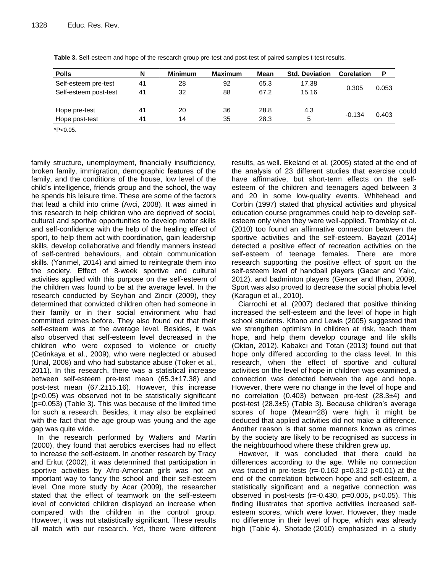| <b>Polls</b>          | N  | <b>Minimum</b> | <b>Maximum</b> | Mean | <b>Std. Deviation</b> | <b>Corelation</b> | P     |
|-----------------------|----|----------------|----------------|------|-----------------------|-------------------|-------|
| Self-esteem pre-test  | 41 | 28             | 92             | 65.3 | 17.38                 |                   | 0.053 |
| Self-esteem post-test | 41 | 32             | 88             | 67.2 | 15.16                 | 0.305             |       |
| Hope pre-test         | 41 | 20             | 36             | 28.8 | 4.3                   | $-0.134$          | 0.403 |
| Hope post-test        | 41 | 14             | 35             | 28.3 | 5                     |                   |       |

**Table 3.** Self-esteem and hope of the research group pre-test and post-test of paired samples t-test results.

\*P<0.05.

family structure, unemployment, financially insufficiency, broken family, immigration, demographic features of the family, and the conditions of the house, low level of the child's intelligence, friends group and the school, the way he spends his leisure time. These are some of the factors that lead a child into crime (Avci, 2008). It was aimed in this research to help children who are deprived of social, cultural and sportive opportunities to develop motor skills and self-confidence with the help of the healing effect of sport, to help them act with coordination, gain leadership skills, develop collaborative and friendly manners instead of self-centred behaviours, and obtain communication skills. (Yarımel, 2014) and aimed to [reintegrate them into](http://tureng.com/tr/turkce-ingilizce/reintegrate%20someone%20into%20the%20society)  [the society.](http://tureng.com/tr/turkce-ingilizce/reintegrate%20someone%20into%20the%20society) Effect of 8-week sportive and cultural activities applied with this purpose on the self-esteem of the children was found to be at the average level. In the research conducted by Seyhan and Zincir (2009), they determined that convicted children often had someone in their family or in their social environment who had committed crimes before. They also found out that their self-esteem was at the average level. Besides, it was also observed that self-esteem level decreased in the children who were exposed to violence or cruelty (Cetinkaya et al., 2009), who were neglected or abused (Unal, 2008) and who had substance abuse (Toker et al., 2011). In this research, there was a statistical increase between self-esteem pre-test mean (65.3±17.38) and post-test mean (67.2±15.16). However, this increase (p<0.05) was observed not to be statistically significant (p=0.053) (Table 3). This was because of the limited time for such a research. Besides, it may also be explained with the fact that the age group was young and the age gap was quite wide.

In the research performed by Walters and Martin (2000), they found that aerobics exercises had no effect to increase the self-esteem. In another research by Tracy and Erkut (2002), it was determined that participation in sportive activities by Afro-American girls was not an important way to fancy the school and their self-esteem level. One more study by Acar (2009), the researcher stated that the effect of teamwork on the self-esteem level of convicted children displayed an increase when compared with the children in the control group. However, it was not statistically significant. These results all match with our research. Yet, there were different results, as well. Ekeland et al. (2005) stated at the end of the analysis of 23 different studies that exercise could have affirmative, but short-term effects on the selfesteem of the children and teenagers aged between 3 and 20 in some low-quality events. Whitehead and Corbin (1997) stated that physical activities and physical education course programmes could help to develop selfesteem only when they were well-applied. Tramblay et al. (2010) too found an affirmative connection between the sportive activities and the self-esteem. Bayazıt (2014) detected a positive effect of recreation activities on the self-esteem of teenage females. There are more research supporting the positive effect of sport on the self-esteem level of handball players (Gacar and Yalıc, 2012), and badminton players (Gencer and Ilhan, 2009). Sport was also proved to decrease the social phobia level (Karagun et al., 2010).

Ciarrochi et al. (2007) declared that positive thinking increased the self-esteem and the level of hope in high school students. Kitano and Lewis (2005) suggested that we strengthen optimism in children at risk, teach them hope, and help them develop courage and life skills (Oktan, 2012). Kabakcı and Totan (2013) found out that hope only differed according to the class level. In this research, when the effect of sportive and cultural activities on the level of hope in children was examined, a connection was detected between the age and hope. However, there were no change in the level of hope and no correlation  $(0.403)$  between pre-test  $(28.3±4)$  and post-test (28.3±5) (Table 3). Because children's average scores of hope (Mean=28) were high, it might be deduced that applied activities did not make a difference. Another reason is that some manners known as crimes by the society are likely to be recognised as success in the neighbourhood where these children grew up.

However, it was concluded that there could be differences according to the age. While no connection was traced in pre-tests ( $r=-0.162$  p=0.312 p<0.01) at the end of the correlation between hope and self-esteem, a statistically significant and a negative connection was observed in post-tests ( $r=-0.430$ ,  $p=0.005$ ,  $p<0.05$ ). This finding illustrates that sportive activities increased selfesteem scores, which were lower. However, they made no difference in their level of hope, which was already high (Table 4). Shotade (2010) emphasized in a study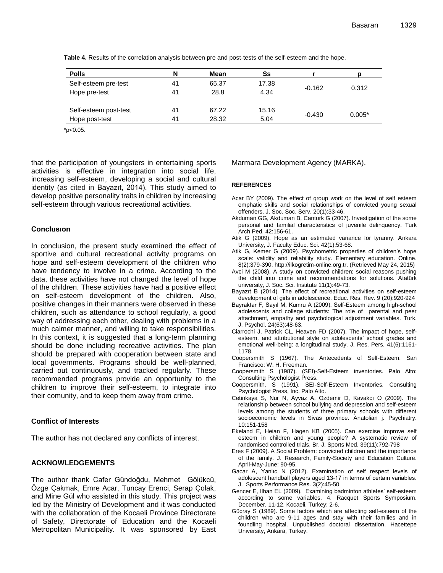| <b>Polls</b>          | N  | Mean  | Ss    |          |          |
|-----------------------|----|-------|-------|----------|----------|
| Self-esteem pre-test  | 41 | 65.37 | 17.38 |          | 0.312    |
| Hope pre-test         | 41 | 28.8  | 4.34  | $-0.162$ |          |
| Self-esteem post-test | 41 | 67.22 | 15.16 |          |          |
| Hope post-test        | 41 | 28.32 | 5.04  | $-0.430$ | $0.005*$ |

**Table 4.** Results of the correlation analysis between pre and post-tests of the self-esteem and the hope.

 $*p<0.05$ .

that the participation of youngsters in entertaining sports activities is effective in integration into social life, increasing self-esteem, developing a social and cultural identity (as cited in Bayazıt, 2014). This study aimed to develop positive personality traits in children by increasing self-esteem through various recreational activities.

## **Conclusıon**

In conclusion, the present study examined the effect of sportive and cultural recreational activity programs on hope and self-esteem development of the children who have tendency to involve in a crime. According to the data, these activities have not changed the level of hope of the children. These activities have had a positive effect on self-esteem development of the children. Also, positive changes in their manners were observed in these children, such as attendance to school regularly, a good way of addressing each other, dealing with problems in a much calmer manner, and willing to take responsibilities. In this context, it is suggested that a long-term planning should be done including recreative activities. The plan should be prepared with cooperation between state and local governments. Programs should be well-planned, carried out continuously, and tracked regularly. These recommended programs provide an opportunity to the children to improve their self-esteem, to integrate into their comunity, and to keep them away from crime.

# **Conflict of Interests**

The author has not declared any conflicts of interest.

# **ACKNOWLEDGEMENTS**

The author thank Cafer Gündoğdu, Mehmet Gölükcü, Özge Çakmak, Emre Acar, Tuncay Erenci, Serap Çolak, and Mine Gül who assisted in this study. This project was led by the Ministry of Development and it was conducted with the collaboration of the Kocaeli Province Directorate of Safety, Directorate of Education and the Kocaeli Metropolitan Municipality. It was sponsored by East Marmara Development Agency (MARKA).

#### **REFERENCES**

- Acar BY (2009). The effect of group work on the level of self esteem emphatic skills and social relationships of convicted young sexual offenders. J. Soc. Soc. Serv. 20(1):33-46.
- Akduman GG, Akduman B, Canturk G (2007). Investigation of the some personal and familial characteristics of juvenile delinquency. Turk Arch Ped. 42:156-61.
- Atik G (2009). Hope as an estimated variance for tyranny. Ankara University, J. Faculty Educ. Sci. 42(1):53-68.
- Atik G, Kemer G (2009). Psychometric properties of children's hope scale: validity and reliability study. Elementary education. Online. 8(2):379-390, http://ilkogretim-online.org.tr. (Retrieved May 24, 2015)
- Avci M (2008). A study on convicted children: social reasons pushing the child into crime and recommendations for solutions. Atatürk university, J. Soc. Sci. Institute 11(1):49-73.
- Bayazıt B (2014). The effect of recreational activities on self-esteem development of girls in adolescence. Educ. Res. Rev. 9 (20):920-924
- Bayraktar F, Sayıl M, Kumru A (2009). Self-Esteem among high-school adolescents and college students: The role of parental and peer attachment, empathy and psychological adjustment variables. Turk. J. Psychol. 24(63):48-63.
- Ciarrochi J, Patrick CL, Heaven FD (2007). The impact of hope, selfesteem, and attributional style on adolescents' school grades and emotional well-being: a longitudinal study. J. Res. Pers. 41(6):1161- 1178.
- Coopersmith S (1967). The Antecedents of Self-Esteem. San Francisco: W. H. Freeman.
- Coopersmith S (1987). (SEI)-Self-Esteem inventories. Palo Alto: Consulting Psychologist Press.
- Coopersmith, S (1991). SEI-Self-Esteem Inventories. Consulting Psychologist Press, Inc. Palo Alto.
- Cetinkaya S, Nur N, Ayvaz A, Ozdemir D, Kavakcı O (2009). The relationship between school bullying and depression and self-esteem levels among the students of three primary schools with different socioeconomic levels in Sivas province. Anatolian j. Psychiatry. 10:151-158
- Ekeland E, Heian F, Hagen KB (2005). Can exercise Improve self esteem in children and young people? A systematic review of randomised controlled trials. Br. J. Sports Med. 39(11):792-798
- Eres F (2009). A Social Problem: convicted children and the importance of the family. J. Research, Family-Society and Education Culture. April-May-June: 90-95.
- Gacar A, Yanlıc N (2012). Examination of self respect levels of adolescent handball players aged 13-17 in terms of certaın variables. J. Sports Performance Res. 3(2):45-50
- Gencer E, Ilhan EL (2009). Examining badminton athletes' self-esteem according to some variables. 4. Racquet Sports Symposium. December, 11-12, Kocaeli, Turkey: 2-6.
- Gücray S (1989). Some factors which are affecting self-esteem of the children who are 9-11 ages and stay with their families and in foundling hospital. Unpublished doctoral dissertation, Hacettepe University, Ankara, Turkey.